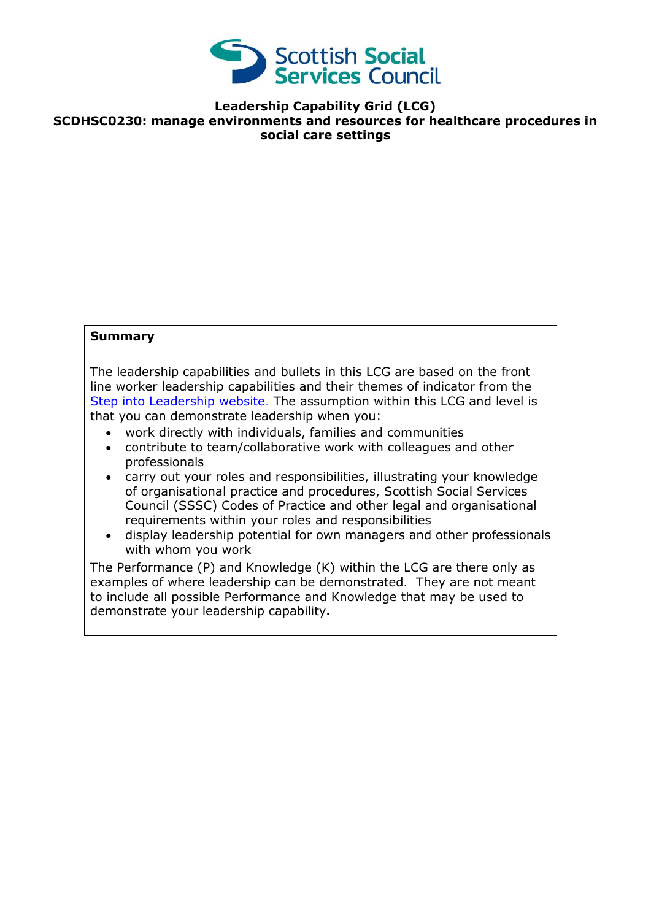

**Leadership Capability Grid (LCG) SCDHSC0230: manage environments and resources for healthcare procedures in social care settings**

## **Summary**

The leadership capabilities and bullets in this LCG are based on the front line worker leadership capabilities and their themes of indicator from the [Step into Leadership website.](http://www.stepintoleadership.info/) The assumption within this LCG and level is that you can demonstrate leadership when you:

- work directly with individuals, families and communities
- contribute to team/collaborative work with colleagues and other professionals
- carry out your roles and responsibilities, illustrating your knowledge of organisational practice and procedures, Scottish Social Services Council (SSSC) Codes of Practice and other legal and organisational requirements within your roles and responsibilities
- display leadership potential for own managers and other professionals with whom you work

The Performance (P) and Knowledge (K) within the LCG are there only as examples of where leadership can be demonstrated. They are not meant to include all possible Performance and Knowledge that may be used to demonstrate your leadership capability**.**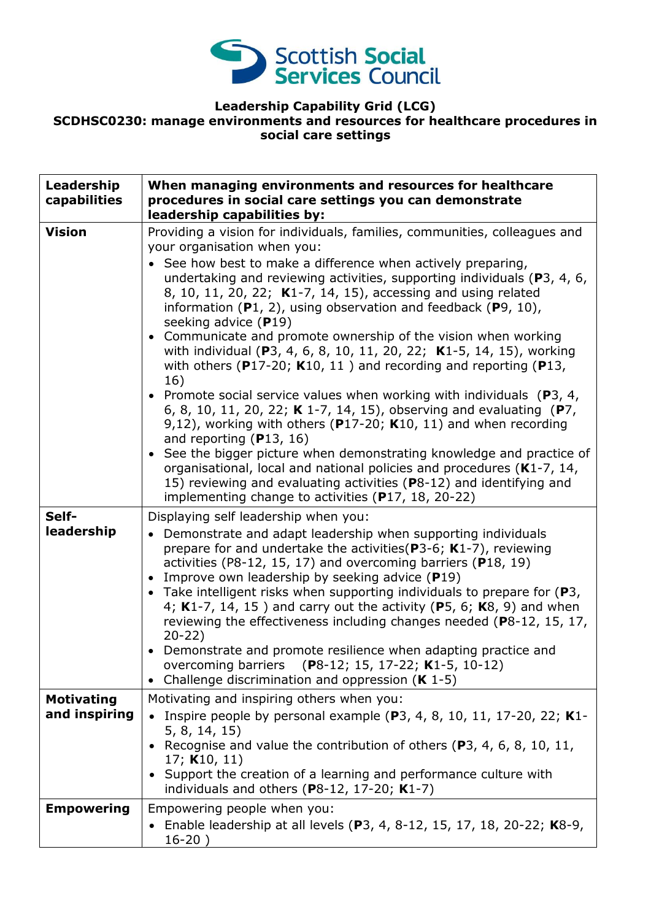

## **Leadership Capability Grid (LCG) SCDHSC0230: manage environments and resources for healthcare procedures in social care settings**

| Leadership<br>capabilities         | When managing environments and resources for healthcare<br>procedures in social care settings you can demonstrate<br>leadership capabilities by:                                                                                                                                                                                                                                                                                                                                                                                                                                                                                                                                                                                                                                                                                                                                                                                                                                                                                                                                                                                                                                        |
|------------------------------------|-----------------------------------------------------------------------------------------------------------------------------------------------------------------------------------------------------------------------------------------------------------------------------------------------------------------------------------------------------------------------------------------------------------------------------------------------------------------------------------------------------------------------------------------------------------------------------------------------------------------------------------------------------------------------------------------------------------------------------------------------------------------------------------------------------------------------------------------------------------------------------------------------------------------------------------------------------------------------------------------------------------------------------------------------------------------------------------------------------------------------------------------------------------------------------------------|
| <b>Vision</b>                      | Providing a vision for individuals, families, communities, colleagues and<br>your organisation when you:<br>• See how best to make a difference when actively preparing,<br>undertaking and reviewing activities, supporting individuals (P3, 4, 6,<br>8, 10, 11, 20, 22; K1-7, 14, 15), accessing and using related<br>information $(P1, 2)$ , using observation and feedback $(P9, 10)$ ,<br>seeking advice (P19)<br>• Communicate and promote ownership of the vision when working<br>with individual (P3, 4, 6, 8, 10, 11, 20, 22; K1-5, 14, 15), working<br>with others ( $P17-20$ ; K10, 11) and recording and reporting ( $P13$ ,<br>16)<br>• Promote social service values when working with individuals ( $P_3$ , 4,<br>6, 8, 10, 11, 20, 22; K 1-7, 14, 15), observing and evaluating (P7,<br>9,12), working with others ( $P17-20$ ; K10, 11) and when recording<br>and reporting $(P13, 16)$<br>• See the bigger picture when demonstrating knowledge and practice of<br>organisational, local and national policies and procedures (K1-7, 14,<br>15) reviewing and evaluating activities (P8-12) and identifying and<br>implementing change to activities (P17, 18, 20-22) |
| Self-<br>leadership                | Displaying self leadership when you:<br>Demonstrate and adapt leadership when supporting individuals<br>$\bullet$<br>prepare for and undertake the activities ( $P3-6$ ; K1-7), reviewing<br>activities (P8-12, 15, 17) and overcoming barriers (P18, 19)<br>Improve own leadership by seeking advice (P19)<br>• Take intelligent risks when supporting individuals to prepare for $(P3,$<br>4; K1-7, 14, 15) and carry out the activity (P5, 6; K8, 9) and when<br>reviewing the effectiveness including changes needed (P8-12, 15, 17,<br>$20 - 22$<br>• Demonstrate and promote resilience when adapting practice and<br>overcoming barriers (P8-12; 15, 17-22; K1-5, 10-12)<br>• Challenge discrimination and oppression $(K 1-5)$                                                                                                                                                                                                                                                                                                                                                                                                                                                  |
| <b>Motivating</b><br>and inspiring | Motivating and inspiring others when you:<br>• Inspire people by personal example (P3, 4, 8, 10, 11, 17-20, 22; K1-<br>5, 8, 14, 15)<br>• Recognise and value the contribution of others (P3, 4, 6, 8, 10, 11,<br>17; $K10, 11$<br>• Support the creation of a learning and performance culture with<br>individuals and others $(P8-12, 17-20; K1-7)$                                                                                                                                                                                                                                                                                                                                                                                                                                                                                                                                                                                                                                                                                                                                                                                                                                   |
| <b>Empowering</b>                  | Empowering people when you:<br>• Enable leadership at all levels (P3, 4, 8-12, 15, 17, 18, 20-22; K8-9,<br>$16-20)$                                                                                                                                                                                                                                                                                                                                                                                                                                                                                                                                                                                                                                                                                                                                                                                                                                                                                                                                                                                                                                                                     |